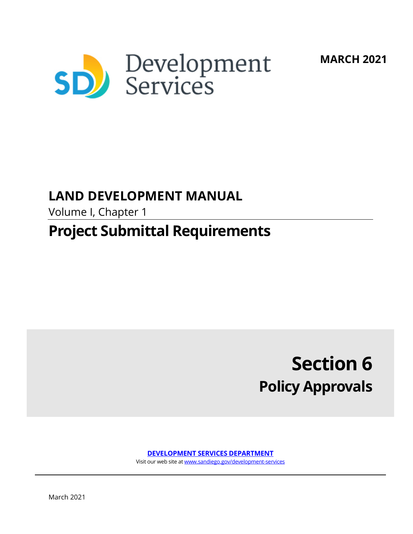



## **LAND DEVELOPMENT MANUAL**

Volume I, Chapter 1

## **Project Submittal Requirements**

# **Section 6 Policy Approvals**

#### **[DEVELOPMENT SERVICES DEPARTMENT](http://www.sandiego.gov/development-services/)**

Visit our web site a[t www.sandiego.gov/development-services](http://www.sandiego.gov/development-services)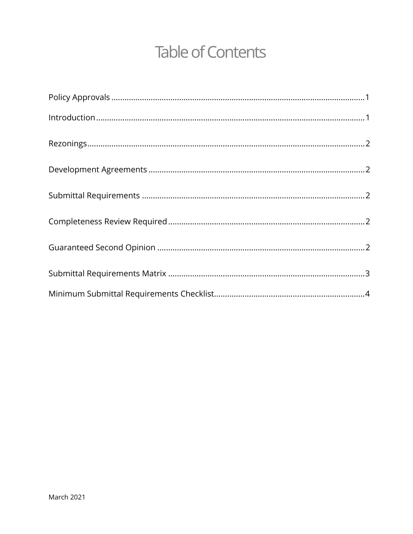## **Table of Contents**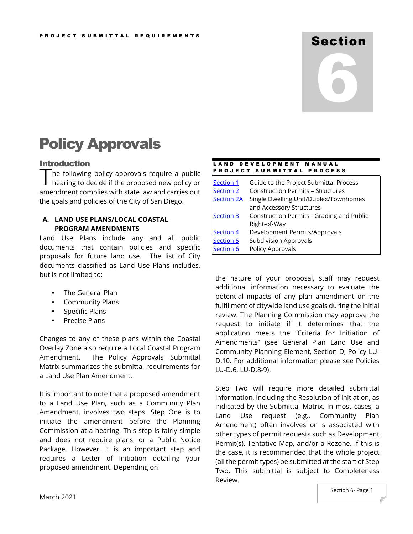### Section

# 6

## <span id="page-2-0"></span>Policy Approvals

#### <span id="page-2-1"></span>Introduction

he following policy approvals require a public The following policy approvals require a public<br>hearing to decide if the proposed new policy or amendment complies with state law and carries out the goals and policies of the City of San Diego.

#### **A. LAND USE PLANS/LOCAL COASTAL PROGRAM AMENDMENTS**

Land Use Plans include any and all public documents that contain policies and specific proposals for future land use. The list of City documents classified as Land Use Plans includes, but is not limited to:

- The General Plan
- Community Plans
- Specific Plans
- Precise Plans

Changes to any of these plans within the Coastal Overlay Zone also require a Local Coastal Program Amendment. The Policy Approvals' Submittal Matrix summarizes the submittal requirements for a Land Use Plan Amendment.

It is important to note that a proposed amendment to a Land Use Plan, such as a Community Plan Amendment, involves two steps. Step One is to initiate the amendment before the Planning Commission at a hearing. This step is fairly simple and does not require plans, or a Public Notice Package. However, it is an important step and requires a Letter of Initiation detailing your proposed amendment. Depending on

| <b>PROJECT</b>    | SUBMITTAL PROCESS                         |
|-------------------|-------------------------------------------|
| Section 1         | Guide to the Project Submittal Process    |
| <b>Section 2</b>  | <b>Construction Permits - Structures</b>  |
| <b>Section 2A</b> | Single Dwelling Unit/Duplex/Townhomes     |
|                   | and Accessory Structures                  |
| Section 3         | Construction Permits - Grading and Public |
|                   | Right-of-Way                              |
| Section 4         | Development Permits/Approvals             |
| Section 5         | <b>Subdivision Approvals</b>              |
| Section 6         | Policy Approvals                          |

LAND DEVELOPMENT MANUAL

the nature of your proposal, staff may request additional information necessary to evaluate the potential impacts of any plan amendment on the fulfillment of citywide land use goals during the initial review. The Planning Commission may approve the request to initiate if it determines that the application meets the "Criteria for Initiation of Amendments" (see General Plan Land Use and Community Planning Element, Section D, Policy LU-D.10. For additional information please see Policies LU-D.6, LU-D.8-9).

Step Two will require more detailed submittal information, including the Resolution of Initiation, as indicated by the Submittal Matrix. In most cases, a Land Use request (e.g., Community Plan Amendment) often involves or is associated with other types of permit requests such as Development Permit(s), Tentative Map, and/or a Rezone. If this is the case, it is recommended that the whole project (all the permit types) be submitted at the start of Step Two. This submittal is subject to Completeness Review.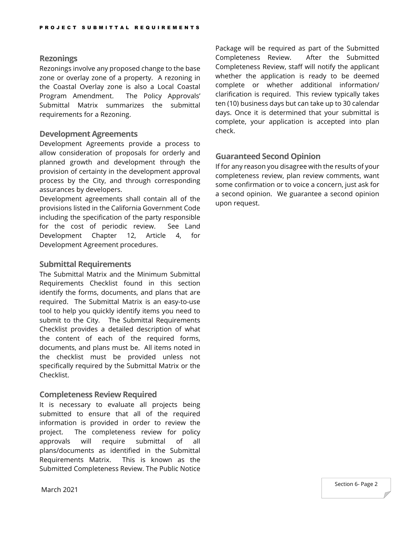#### <span id="page-3-0"></span>**Rezonings**

Rezonings involve any proposed change to the base zone or overlay zone of a property. A rezoning in the Coastal Overlay zone is also a Local Coastal Program Amendment. The Policy Approvals' Submittal Matrix summarizes the submittal requirements for a Rezoning.

#### <span id="page-3-1"></span>**Development Agreements**

Development Agreements provide a process to allow consideration of proposals for orderly and planned growth and development through the provision of certainty in the development approval process by the City, and through corresponding assurances by developers.

Development agreements shall contain all of the provisions listed in the California Government Code including the specification of the party responsible for the cost of periodic review. See Land Development Chapter 12, Article 4, for Development Agreement procedures.

#### <span id="page-3-2"></span>**Submittal Requirements**

The Submittal Matrix and the Minimum Submittal Requirements Checklist found in this section identify the forms, documents, and plans that are required. The Submittal Matrix is an easy-to-use tool to help you quickly identify items you need to submit to the City. The Submittal Requirements Checklist provides a detailed description of what the content of each of the required forms, documents, and plans must be. All items noted in the checklist must be provided unless not specifically required by the Submittal Matrix or the Checklist.

#### <span id="page-3-3"></span>**Completeness Review Required**

It is necessary to evaluate all projects being submitted to ensure that all of the required information is provided in order to review the project. The completeness review for policy approvals will require submittal of all plans/documents as identified in the Submittal Requirements Matrix. This is known as the Submitted Completeness Review. The Public Notice

Package will be required as part of the Submitted Completeness Review. After the Submitted Completeness Review, staff will notify the applicant whether the application is ready to be deemed complete or whether additional information/ clarification is required. This review typically takes ten (10) business days but can take up to 30 calendar days. Once it is determined that your submittal is complete, your application is accepted into plan check.

#### <span id="page-3-4"></span>**Guaranteed Second Opinion**

If for any reason you disagree with the results of your completeness review, plan review comments, want some confirmation or to voice a concern, just ask for a second opinion. We guarantee a second opinion upon request.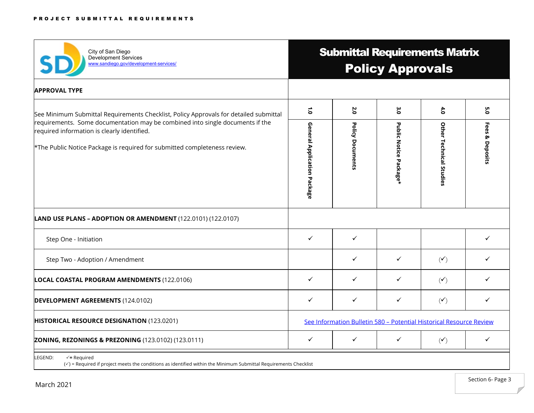<span id="page-4-0"></span>

| City of San Diego<br>Development Services<br>www.sandiego.gov/development-services/                                                                                                                       | <b>Submittal Requirements Matrix</b><br><b>Policy Approvals</b>     |                  |                                    |                                |                    |
|-----------------------------------------------------------------------------------------------------------------------------------------------------------------------------------------------------------|---------------------------------------------------------------------|------------------|------------------------------------|--------------------------------|--------------------|
| <b>APPROVAL TYPE</b>                                                                                                                                                                                      |                                                                     |                  |                                    |                                |                    |
| See Minimum Submittal Requirements Checklist, Policy Approvals for detailed submittal                                                                                                                     | $\ddot{\bullet}$                                                    | 2.0              | 3.0                                | 4.0                            | ς.ο                |
| requirements. Some documentation may be combined into single documents if the<br>required information is clearly identified.<br>*The Public Notice Package is required for submitted completeness review. |                                                                     | Policy Documents | Public Notice Package <sup>+</sup> | <b>Other Technical Studies</b> | Fees<br>& Deposits |
| LAND USE PLANS - ADOPTION OR AMENDMENT (122.0101) (122.0107)                                                                                                                                              |                                                                     |                  |                                    |                                |                    |
| Step One - Initiation                                                                                                                                                                                     | $\checkmark$                                                        | $\checkmark$     |                                    |                                | ✓                  |
| Step Two - Adoption / Amendment                                                                                                                                                                           |                                                                     | $\checkmark$     | ✓                                  | $(\checkmark)$                 | ✓                  |
| <b>LOCAL COASTAL PROGRAM AMENDMENTS (122.0106)</b>                                                                                                                                                        | $\checkmark$                                                        | $\checkmark$     | ✓                                  | $(\checkmark)$                 | ✓                  |
| <b>DEVELOPMENT AGREEMENTS (124.0102)</b>                                                                                                                                                                  | ✓                                                                   | ✓                | ✓                                  | $(\checkmark)$                 | ✓                  |
| HISTORICAL RESOURCE DESIGNATION (123.0201)                                                                                                                                                                | See Information Bulletin 580 - Potential Historical Resource Review |                  |                                    |                                |                    |
| ZONING, REZONINGS & PREZONING (123.0102) (123.0111)                                                                                                                                                       | $\checkmark$                                                        | $\checkmark$     | $\checkmark$                       | $(\checkmark)$                 | ✓                  |
| LEGEND:<br>$\sqrt{\ }$ Required                                                                                                                                                                           |                                                                     |                  |                                    |                                |                    |

 $(\check{y})$  = Required if project meets the conditions as identified within the Minimum Submittal Requirements Checklist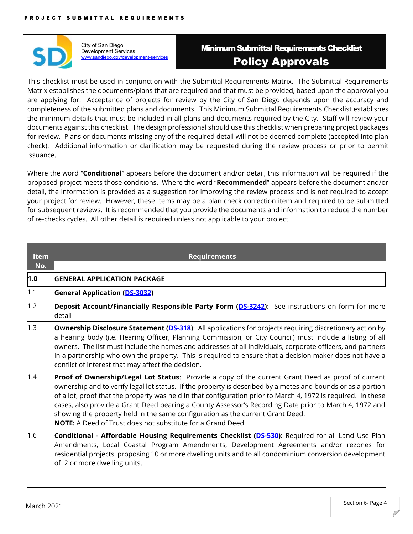

City of San Diego Development Services [www.sandiego.gov/development-services](http://www.sandiego.gov/development-services)

#### <span id="page-5-0"></span>Minimum Submittal Requirements Checklist Policy Approvals

This checklist must be used in conjunction with the Submittal Requirements Matrix. The Submittal Requirements Matrix establishes the documents/plans that are required and that must be provided, based upon the approval you are applying for. Acceptance of projects for review by the City of San Diego depends upon the accuracy and completeness of the submitted plans and documents. This Minimum Submittal Requirements Checklist establishes the minimum details that must be included in all plans and documents required by the City. Staff will review your documents against this checklist. The design professional should use this checklist when preparing project packages for review. Plans or documents missing any of the required detail will not be deemed complete (accepted into plan check). Additional information or clarification may be requested during the review process or prior to permit issuance.

Where the word "**Conditional**" appears before the document and/or detail, this information will be required if the proposed project meets those conditions. Where the word "**Recommended**" appears before the document and/or detail, the information is provided as a suggestion for improving the review process and is not required to accept your project for review. However, these items may be a plan check correction item and required to be submitted for subsequent reviews. It is recommended that you provide the documents and information to reduce the number of re-checks cycles. All other detail is required unless not applicable to your project.

| <b>Item</b><br>No. | <b>Requirements</b>                                                                                                                                                                                                                                                                                                                                                                                                                                                                                                                                                                           |
|--------------------|-----------------------------------------------------------------------------------------------------------------------------------------------------------------------------------------------------------------------------------------------------------------------------------------------------------------------------------------------------------------------------------------------------------------------------------------------------------------------------------------------------------------------------------------------------------------------------------------------|
| 1.0                | <b>GENERAL APPLICATION PACKAGE</b>                                                                                                                                                                                                                                                                                                                                                                                                                                                                                                                                                            |
| 1.1                | <b>General Application (DS-3032)</b>                                                                                                                                                                                                                                                                                                                                                                                                                                                                                                                                                          |
| 1.2                | Deposit Account/Financially Responsible Party Form (DS-3242): See instructions on form for more<br>detail                                                                                                                                                                                                                                                                                                                                                                                                                                                                                     |
| 1.3                | <b>Ownership Disclosure Statement (DS-318):</b> All applications for projects requiring discretionary action by<br>a hearing body (i.e. Hearing Officer, Planning Commission, or City Council) must include a listing of all<br>owners. The list must include the names and addresses of all individuals, corporate officers, and partners<br>in a partnership who own the property. This is required to ensure that a decision maker does not have a<br>conflict of interest that may affect the decision.                                                                                   |
| 1.4                | Proof of Ownership/Legal Lot Status: Provide a copy of the current Grant Deed as proof of current<br>ownership and to verify legal lot status. If the property is described by a metes and bounds or as a portion<br>of a lot, proof that the property was held in that configuration prior to March 4, 1972 is required. In these<br>cases, also provide a Grant Deed bearing a County Assessor's Recording Date prior to March 4, 1972 and<br>showing the property held in the same configuration as the current Grant Deed.<br>NOTE: A Deed of Trust does not substitute for a Grand Deed. |
| 1.6                | Conditional - Affordable Housing Requirements Checklist (DS-530): Required for all Land Use Plan<br>Amendments, Local Coastal Program Amendments, Development Agreements and/or rezones for<br>residential projects proposing 10 or more dwelling units and to all condominium conversion development<br>of 2 or more dwelling units.                                                                                                                                                                                                                                                         |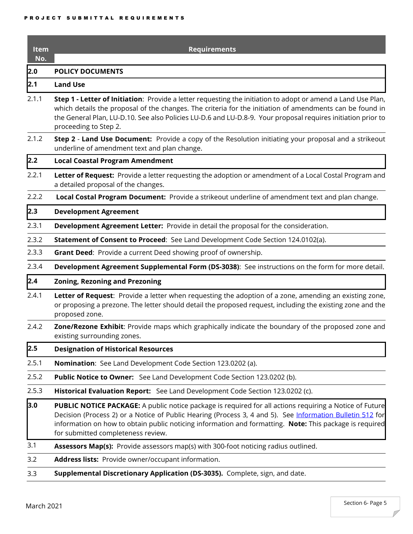| <b>Item</b> | <b>Requirements</b>                                                                                                                                                                                                                                                                                                                                                          |
|-------------|------------------------------------------------------------------------------------------------------------------------------------------------------------------------------------------------------------------------------------------------------------------------------------------------------------------------------------------------------------------------------|
| No.         |                                                                                                                                                                                                                                                                                                                                                                              |
| 2.0         | <b>POLICY DOCUMENTS</b>                                                                                                                                                                                                                                                                                                                                                      |
| 2.1         | <b>Land Use</b>                                                                                                                                                                                                                                                                                                                                                              |
| 2.1.1       | Step 1 - Letter of Initiation: Provide a letter requesting the initiation to adopt or amend a Land Use Plan,<br>which details the proposal of the changes. The criteria for the initiation of amendments can be found in<br>the General Plan, LU-D.10. See also Policies LU-D.6 and LU-D.8-9. Your proposal requires initiation prior to<br>proceeding to Step 2.            |
| 2.1.2       | Step 2 - Land Use Document: Provide a copy of the Resolution initiating your proposal and a strikeout<br>underline of amendment text and plan change.                                                                                                                                                                                                                        |
| 2.2         | <b>Local Coastal Program Amendment</b>                                                                                                                                                                                                                                                                                                                                       |
| 2.2.1       | Letter of Request: Provide a letter requesting the adoption or amendment of a Local Costal Program and<br>a detailed proposal of the changes.                                                                                                                                                                                                                                |
| 2.2.2       | Local Costal Program Document: Provide a strikeout underline of amendment text and plan change.                                                                                                                                                                                                                                                                              |
| 2.3         | <b>Development Agreement</b>                                                                                                                                                                                                                                                                                                                                                 |
| 2.3.1       | Development Agreement Letter: Provide in detail the proposal for the consideration.                                                                                                                                                                                                                                                                                          |
| 2.3.2       | Statement of Consent to Proceed: See Land Development Code Section 124.0102(a).                                                                                                                                                                                                                                                                                              |
| 2.3.3       | Grant Deed: Provide a current Deed showing proof of ownership.                                                                                                                                                                                                                                                                                                               |
| 2.3.4       | Development Agreement Supplemental Form (DS-3038): See instructions on the form for more detail.                                                                                                                                                                                                                                                                             |
| 2.4         | <b>Zoning, Rezoning and Prezoning</b>                                                                                                                                                                                                                                                                                                                                        |
| 2.4.1       | Letter of Request: Provide a letter when requesting the adoption of a zone, amending an existing zone,<br>or proposing a prezone. The letter should detail the proposed request, including the existing zone and the<br>proposed zone.                                                                                                                                       |
| 2.4.2       | Zone/Rezone Exhibit: Provide maps which graphically indicate the boundary of the proposed zone and<br>existing surrounding zones.                                                                                                                                                                                                                                            |
| 2.5         | <b>Designation of Historical Resources</b>                                                                                                                                                                                                                                                                                                                                   |
| 2.5.1       | Nomination: See Land Development Code Section 123.0202 (a).                                                                                                                                                                                                                                                                                                                  |
| 2.5.2       | Public Notice to Owner: See Land Development Code Section 123.0202 (b).                                                                                                                                                                                                                                                                                                      |
| 2.5.3       | Historical Evaluation Report: See Land Development Code Section 123.0202 (c).                                                                                                                                                                                                                                                                                                |
| 3.0         | <b>PUBLIC NOTICE PACKAGE:</b> A public notice package is required for all actions requiring a Notice of Future<br>Decision (Process 2) or a Notice of Public Hearing (Process 3, 4 and 5). See Information Bulletin 512 for<br>information on how to obtain public noticing information and formatting. Note: This package is required<br>for submitted completeness review. |
|             |                                                                                                                                                                                                                                                                                                                                                                              |
| 3.1         | Assessors Map(s): Provide assessors map(s) with 300-foot noticing radius outlined.                                                                                                                                                                                                                                                                                           |
| 3.2         | Address lists: Provide owner/occupant information.                                                                                                                                                                                                                                                                                                                           |